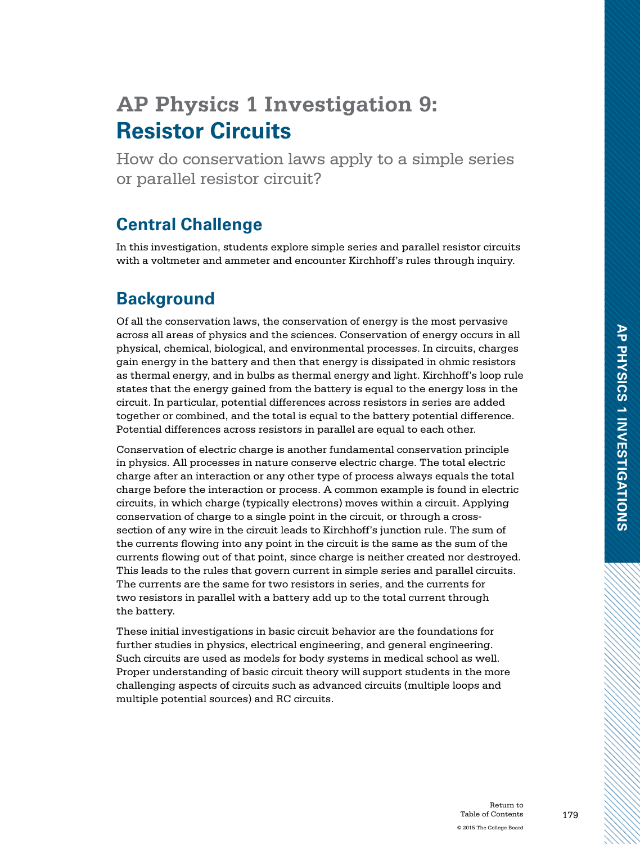# **AP Physics 1 Investigation 9: Resistor Circuits**

How do conservation laws apply to a simple series or parallel resistor circuit?

# **Central Challenge**

In this investigation, students explore simple series and parallel resistor circuits with a voltmeter and ammeter and encounter Kirchhoff's rules through inquiry.

# **Background**

Of all the conservation laws, the conservation of energy is the most pervasive across all areas of physics and the sciences. Conservation of energy occurs in all physical, chemical, biological, and environmental processes. In circuits, charges gain energy in the battery and then that energy is dissipated in ohmic resistors as thermal energy, and in bulbs as thermal energy and light. Kirchhoff's loop rule states that the energy gained from the battery is equal to the energy loss in the circuit. In particular, potential differences across resistors in series are added together or combined, and the total is equal to the battery potential difference. Potential differences across resistors in parallel are equal to each other.

Conservation of electric charge is another fundamental conservation principle in physics. All processes in nature conserve electric charge. The total electric charge after an interaction or any other type of process always equals the total charge before the interaction or process. A common example is found in electric circuits, in which charge (typically electrons) moves within a circuit. Applying conservation of charge to a single point in the circuit, or through a crosssection of any wire in the circuit leads to Kirchhoff's junction rule. The sum of the currents flowing into any point in the circuit is the same as the sum of the currents flowing out of that point, since charge is neither created nor destroyed. This leads to the rules that govern current in simple series and parallel circuits. The currents are the same for two resistors in series, and the currents for two resistors in parallel with a battery add up to the total current through the battery.

These initial investigations in basic circuit behavior are the foundations for further studies in physics, electrical engineering, and general engineering. Such circuits are used as models for body systems in medical school as well. Proper understanding of basic circuit theory will support students in the more challenging aspects of circuits such as advanced circuits (multiple loops and multiple potential sources) and RC circuits.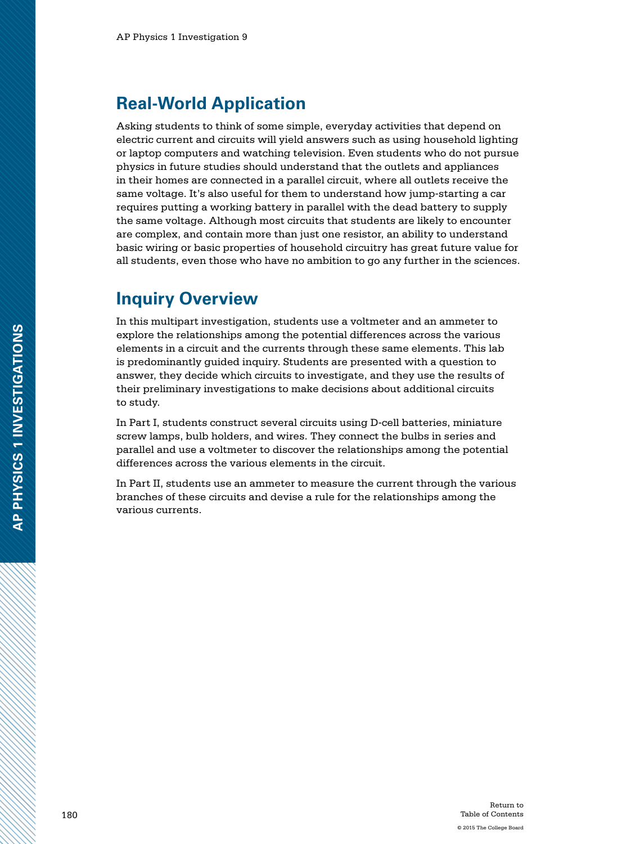#### **Real-World Application**

Asking students to think of some simple, everyday activities that depend on electric current and circuits will yield answers such as using household lighting or laptop computers and watching television. Even students who do not pursue physics in future studies should understand that the outlets and appliances in their homes are connected in a parallel circuit, where all outlets receive the same voltage. It's also useful for them to understand how jump-starting a car requires putting a working battery in parallel with the dead battery to supply the same voltage. Although most circuits that students are likely to encounter are complex, and contain more than just one resistor, an ability to understand basic wiring or basic properties of household circuitry has great future value for all students, even those who have no ambition to go any further in the sciences.

#### **Inquiry Overview**

In this multipart investigation, students use a voltmeter and an ammeter to explore the relationships among the potential differences across the various elements in a circuit and the currents through these same elements. This lab is predominantly guided inquiry. Students are presented with a question to answer, they decide which circuits to investigate, and they use the results of their preliminary investigations to make decisions about additional circuits to study.

In Part I, students construct several circuits using D-cell batteries, miniature screw lamps, bulb holders, and wires. They connect the bulbs in series and parallel and use a voltmeter to discover the relationships among the potential differences across the various elements in the circuit.

In Part II, students use an ammeter to measure the current through the various branches of these circuits and devise a rule for the relationships among the various currents.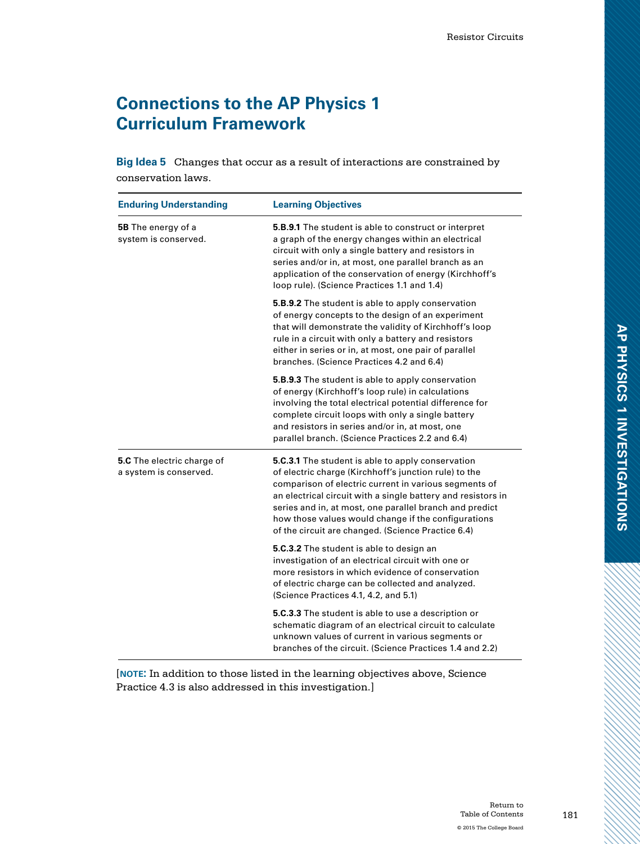# **Connections to the AP Physics 1 Curriculum Framework**

**Big Idea 5** Changes that occur as a result of interactions are constrained by conservation laws.

| <b>Enduring Understanding</b>                               | <b>Learning Objectives</b>                                                                                                                                                                                                                                                                                                                                                                                         |
|-------------------------------------------------------------|--------------------------------------------------------------------------------------------------------------------------------------------------------------------------------------------------------------------------------------------------------------------------------------------------------------------------------------------------------------------------------------------------------------------|
| <b>5B</b> The energy of a<br>system is conserved.           | <b>5.B.9.1</b> The student is able to construct or interpret<br>a graph of the energy changes within an electrical<br>circuit with only a single battery and resistors in<br>series and/or in, at most, one parallel branch as an<br>application of the conservation of energy (Kirchhoff's<br>loop rule). (Science Practices 1.1 and 1.4)                                                                         |
|                                                             | <b>5.B.9.2</b> The student is able to apply conservation<br>of energy concepts to the design of an experiment<br>that will demonstrate the validity of Kirchhoff's loop<br>rule in a circuit with only a battery and resistors<br>either in series or in, at most, one pair of parallel<br>branches. (Science Practices 4.2 and 6.4)                                                                               |
|                                                             | <b>5.B.9.3</b> The student is able to apply conservation<br>of energy (Kirchhoff's loop rule) in calculations<br>involving the total electrical potential difference for<br>complete circuit loops with only a single battery<br>and resistors in series and/or in, at most, one<br>parallel branch. (Science Practices 2.2 and 6.4)                                                                               |
| <b>5.C</b> The electric charge of<br>a system is conserved. | <b>5.C.3.1</b> The student is able to apply conservation<br>of electric charge (Kirchhoff's junction rule) to the<br>comparison of electric current in various segments of<br>an electrical circuit with a single battery and resistors in<br>series and in, at most, one parallel branch and predict<br>how those values would change if the configurations<br>of the circuit are changed. (Science Practice 6.4) |
|                                                             | 5.C.3.2 The student is able to design an<br>investigation of an electrical circuit with one or<br>more resistors in which evidence of conservation<br>of electric charge can be collected and analyzed.<br>(Science Practices 4.1, 4.2, and 5.1)                                                                                                                                                                   |
|                                                             | 5.C.3.3 The student is able to use a description or<br>schematic diagram of an electrical circuit to calculate<br>unknown values of current in various segments or<br>branches of the circuit. (Science Practices 1.4 and 2.2)                                                                                                                                                                                     |

[**note:** In addition to those listed in the learning objectives above, Science Practice 4.3 is also addressed in this investigation.]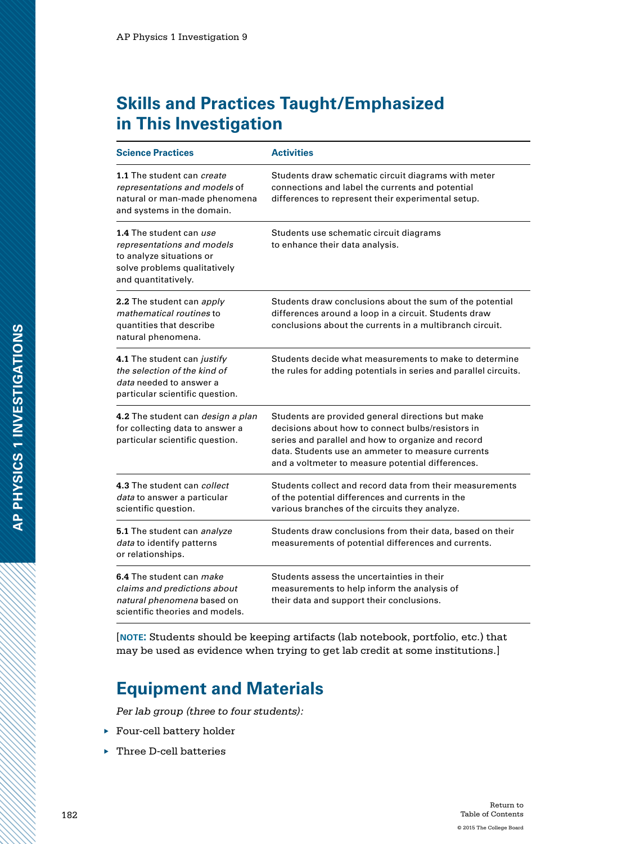# **Skills and Practices Taught/Emphasized in This Investigation**

| <b>Science Practices</b>                                                                                                                 | <b>Activities</b>                                                                                                                                                                                                                                                      |
|------------------------------------------------------------------------------------------------------------------------------------------|------------------------------------------------------------------------------------------------------------------------------------------------------------------------------------------------------------------------------------------------------------------------|
| 1.1 The student can create<br>representations and models of<br>natural or man-made phenomena<br>and systems in the domain.               | Students draw schematic circuit diagrams with meter<br>connections and label the currents and potential<br>differences to represent their experimental setup.                                                                                                          |
| 1.4 The student can use<br>representations and models<br>to analyze situations or<br>solve problems qualitatively<br>and quantitatively. | Students use schematic circuit diagrams<br>to enhance their data analysis.                                                                                                                                                                                             |
| <b>2.2</b> The student can apply<br>mathematical routines to<br>quantities that describe<br>natural phenomena.                           | Students draw conclusions about the sum of the potential<br>differences around a loop in a circuit. Students draw<br>conclusions about the currents in a multibranch circuit.                                                                                          |
| 4.1 The student can justify<br>the selection of the kind of<br>data needed to answer a<br>particular scientific question.                | Students decide what measurements to make to determine<br>the rules for adding potentials in series and parallel circuits.                                                                                                                                             |
| 4.2 The student can <i>design a plan</i><br>for collecting data to answer a<br>particular scientific question.                           | Students are provided general directions but make<br>decisions about how to connect bulbs/resistors in<br>series and parallel and how to organize and record<br>data. Students use an ammeter to measure currents<br>and a voltmeter to measure potential differences. |
| 4.3 The student can collect<br>data to answer a particular<br>scientific question.                                                       | Students collect and record data from their measurements<br>of the potential differences and currents in the<br>various branches of the circuits they analyze.                                                                                                         |
| 5.1 The student can analyze<br>data to identify patterns<br>or relationships.                                                            | Students draw conclusions from their data, based on their<br>measurements of potential differences and currents.                                                                                                                                                       |
| 6.4 The student can <i>make</i><br>claims and predictions about<br>natural phenomena based on<br>scientific theories and models.         | Students assess the uncertainties in their<br>measurements to help inform the analysis of<br>their data and support their conclusions.                                                                                                                                 |

[**note:** Students should be keeping artifacts (lab notebook, portfolio, etc.) that may be used as evidence when trying to get lab credit at some institutions.]

# **Equipment and Materials**

*Per lab group (three to four students):*

- ▶ Four-cell battery holder
- ▶ Three D-cell batteries

2000 March 2000 Miller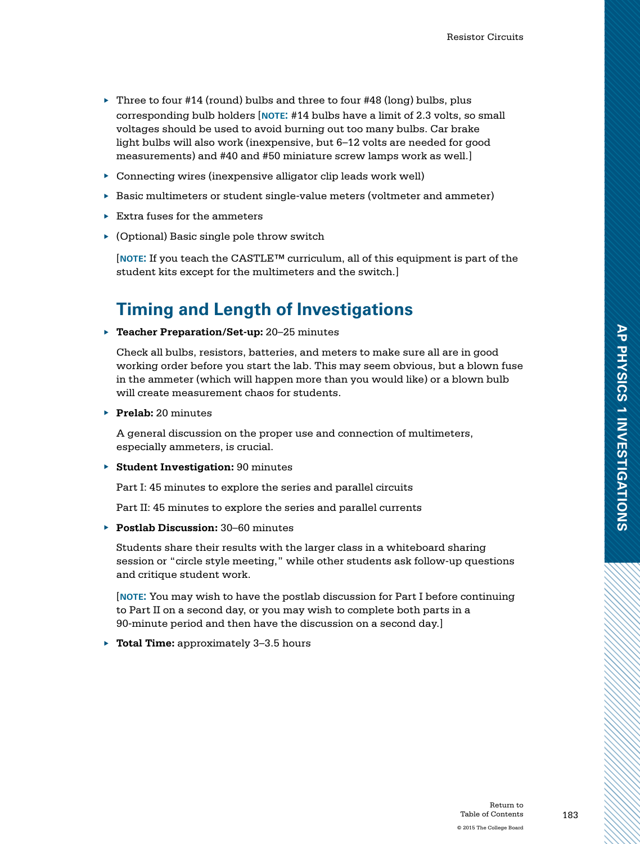- $\triangleright$  Three to four #14 (round) bulbs and three to four #48 (long) bulbs, plus corresponding bulb holders [**note:** #14 bulbs have a limit of 2.3 volts, so small voltages should be used to avoid burning out too many bulbs. Car brake light bulbs will also work (inexpensive, but 6–12 volts are needed for good measurements) and #40 and #50 miniature screw lamps work as well.]
- ▶ Connecting wires (inexpensive alligator clip leads work well)
- ▶ Basic multimeters or student single-value meters (voltmeter and ammeter)
- ▶ Extra fuses for the ammeters
- $\triangleright$  (Optional) Basic single pole throw switch

[**note:** If you teach the CASTLE™ curriculum, all of this equipment is part of the student kits except for the multimeters and the switch.]

# **Timing and Length of Investigations**

▶ **Teacher Preparation/Set-up:** 20–25 minutes

Check all bulbs, resistors, batteries, and meters to make sure all are in good working order before you start the lab. This may seem obvious, but a blown fuse in the ammeter (which will happen more than you would like) or a blown bulb will create measurement chaos for students.

▶ **Prelab:** 20 minutes

A general discussion on the proper use and connection of multimeters, especially ammeters, is crucial.

▶ **Student Investigation:** 90 minutes

Part I: 45 minutes to explore the series and parallel circuits

Part II: 45 minutes to explore the series and parallel currents

▶ **Postlab Discussion:** 30–60 minutes

Students share their results with the larger class in a whiteboard sharing session or "circle style meeting," while other students ask follow-up questions and critique student work.

[**note:** You may wish to have the postlab discussion for Part I before continuing to Part II on a second day, or you may wish to complete both parts in a 90-minute period and then have the discussion on a second day.]

▶ **Total Time:** approximately 3–3.5 hours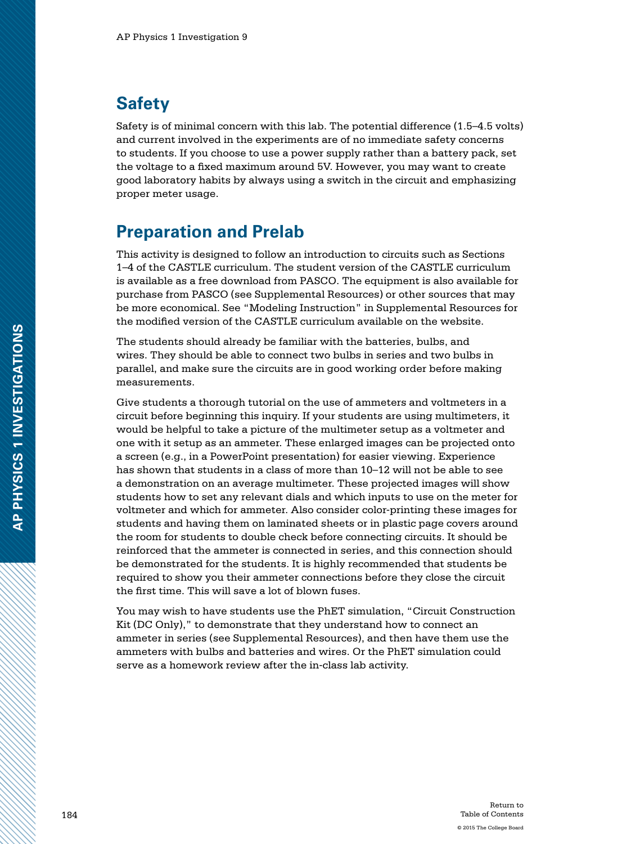## **Safety**

Safety is of minimal concern with this lab. The potential difference (1.5–4.5 volts) and current involved in the experiments are of no immediate safety concerns to students. If you choose to use a power supply rather than a battery pack, set the voltage to a fixed maximum around 5V. However, you may want to create good laboratory habits by always using a switch in the circuit and emphasizing proper meter usage.

## **Preparation and Prelab**

This activity is designed to follow an introduction to circuits such as Sections 1–4 of the CASTLE curriculum. The student version of the CASTLE curriculum is available as a free download from PASCO. The equipment is also available for purchase from PASCO (see Supplemental Resources) or other sources that may be more economical. See "Modeling Instruction" in Supplemental Resources for the modified version of the CASTLE curriculum available on the website.

The students should already be familiar with the batteries, bulbs, and wires. They should be able to connect two bulbs in series and two bulbs in parallel, and make sure the circuits are in good working order before making measurements.

Give students a thorough tutorial on the use of ammeters and voltmeters in a circuit before beginning this inquiry. If your students are using multimeters, it would be helpful to take a picture of the multimeter setup as a voltmeter and one with it setup as an ammeter. These enlarged images can be projected onto a screen (e.g., in a PowerPoint presentation) for easier viewing. Experience has shown that students in a class of more than 10–12 will not be able to see a demonstration on an average multimeter. These projected images will show students how to set any relevant dials and which inputs to use on the meter for voltmeter and which for ammeter. Also consider color-printing these images for students and having them on laminated sheets or in plastic page covers around the room for students to double check before connecting circuits. It should be reinforced that the ammeter is connected in series, and this connection should be demonstrated for the students. It is highly recommended that students be required to show you their ammeter connections before they close the circuit the first time. This will save a lot of blown fuses.

You may wish to have students use the PhET simulation, "Circuit Construction Kit (DC Only)," to demonstrate that they understand how to connect an ammeter in series (see Supplemental Resources), and then have them use the ammeters with bulbs and batteries and wires. Or the PhET simulation could serve as a homework review after the in-class lab activity.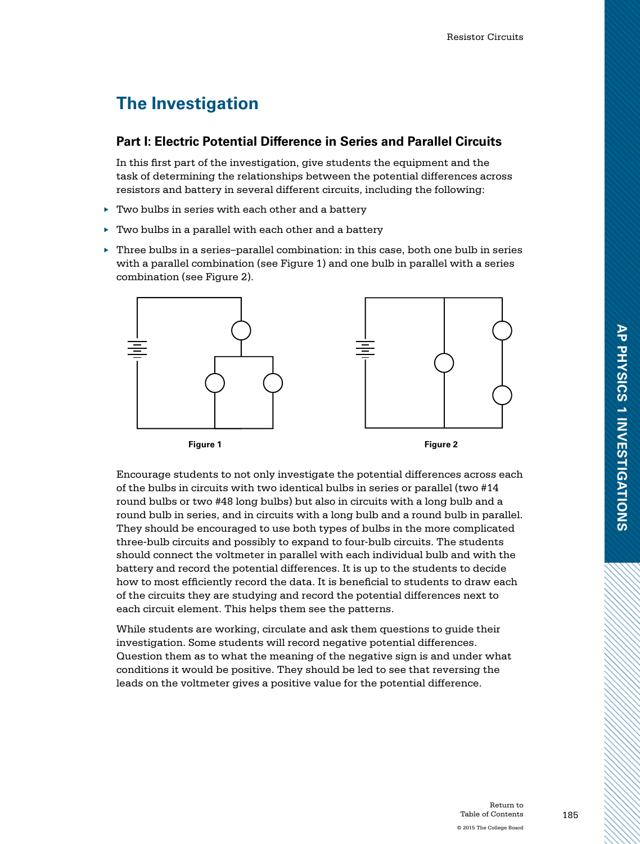# **The Investigation**

#### **Part I: Electric Potential Difference in Series and Parallel Circuits**

In this first part of the investigation, give students the equipment and the task of determining the relationships between the potential differences across resistors and battery in several different circuits, including the following:

- ▶ Two bulbs in series with each other and a battery
- $\blacktriangleright$  Two bulbs in a parallel with each other and a battery
- $\blacktriangleright$  Three bulbs in a series–parallel combination: in this case, both one bulb in series with a parallel combination (see Figure 1) and one bulb in parallel with a series combination (see Figure 2).





Encourage students to not only investigate the potential differences across each of the bulbs in circuits with two identical bulbs in series or parallel (two #14 round bulbs or two #48 long bulbs) but also in circuits with a long bulb and a round bulb in series, and in circuits with a long bulb and a round bulb in parallel. They should be encouraged to use both types of bulbs in the more complicated three-bulb circuits and possibly to expand to four-bulb circuits. The students should connect the voltmeter in parallel with each individual bulb and with the battery and record the potential differences. It is up to the students to decide how to most efficiently record the data. It is beneficial to students to draw each of the circuits they are studying and record the potential differences next to each circuit element. This helps them see the patterns.

While students are working, circulate and ask them questions to guide their investigation. Some students will record negative potential differences. Question them as to what the meaning of the negative sign is and under what conditions it would be positive. They should be led to see that reversing the leads on the voltmeter gives a positive value for the potential difference.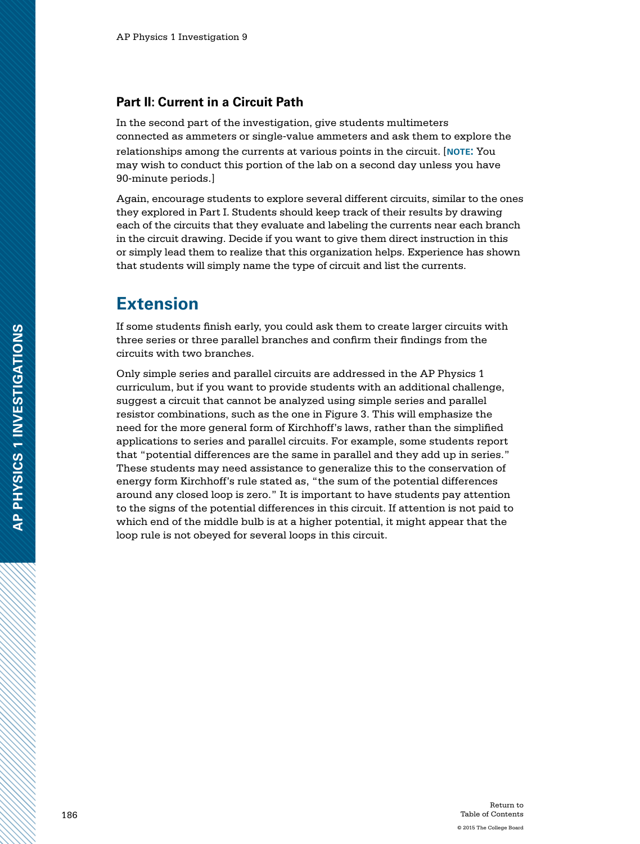#### **Part II: Current in a Circuit Path**

In the second part of the investigation, give students multimeters connected as ammeters or single-value ammeters and ask them to explore the relationships among the currents at various points in the circuit. [**note:** You may wish to conduct this portion of the lab on a second day unless you have 90-minute periods.]

Again, encourage students to explore several different circuits, similar to the ones they explored in Part I. Students should keep track of their results by drawing each of the circuits that they evaluate and labeling the currents near each branch in the circuit drawing. Decide if you want to give them direct instruction in this or simply lead them to realize that this organization helps. Experience has shown that students will simply name the type of circuit and list the currents.

### **Extension**

If some students finish early, you could ask them to create larger circuits with three series or three parallel branches and confirm their findings from the circuits with two branches.

Only simple series and parallel circuits are addressed in the AP Physics 1 curriculum, but if you want to provide students with an additional challenge, suggest a circuit that cannot be analyzed using simple series and parallel resistor combinations, such as the one in Figure 3. This will emphasize the need for the more general form of Kirchhoff's laws, rather than the simplified applications to series and parallel circuits. For example, some students report that "potential differences are the same in parallel and they add up in series." These students may need assistance to generalize this to the conservation of energy form Kirchhoff's rule stated as, "the sum of the potential differences around any closed loop is zero." It is important to have students pay attention to the signs of the potential differences in this circuit. If attention is not paid to which end of the middle bulb is at a higher potential, it might appear that the loop rule is not obeyed for several loops in this circuit.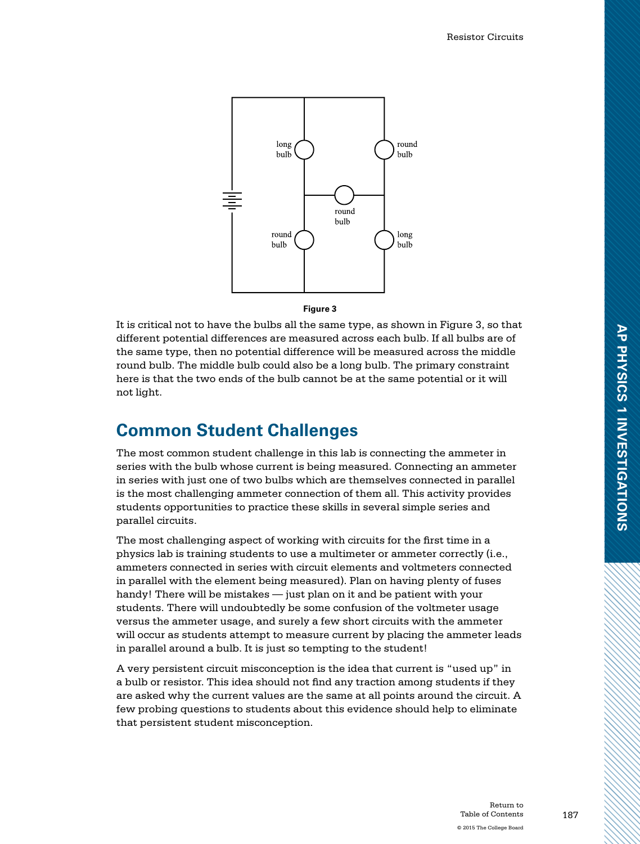

#### **Figure 3**

It is critical not to have the bulbs all the same type, as shown in Figure 3, so that different potential differences are measured across each bulb. If all bulbs are of the same type, then no potential difference will be measured across the middle round bulb. The middle bulb could also be a long bulb. The primary constraint here is that the two ends of the bulb cannot be at the same potential or it will not light.

#### **Common Student Challenges**

The most common student challenge in this lab is connecting the ammeter in series with the bulb whose current is being measured. Connecting an ammeter in series with just one of two bulbs which are themselves connected in parallel is the most challenging ammeter connection of them all. This activity provides students opportunities to practice these skills in several simple series and parallel circuits.

The most challenging aspect of working with circuits for the first time in a physics lab is training students to use a multimeter or ammeter correctly (i.e., ammeters connected in series with circuit elements and voltmeters connected in parallel with the element being measured). Plan on having plenty of fuses handy! There will be mistakes — just plan on it and be patient with your students. There will undoubtedly be some confusion of the voltmeter usage versus the ammeter usage, and surely a few short circuits with the ammeter will occur as students attempt to measure current by placing the ammeter leads in parallel around a bulb. It is just so tempting to the student!

A very persistent circuit misconception is the idea that current is "used up" in a bulb or resistor. This idea should not find any traction among students if they are asked why the current values are the same at all points around the circuit. A few probing questions to students about this evidence should help to eliminate that persistent student misconception.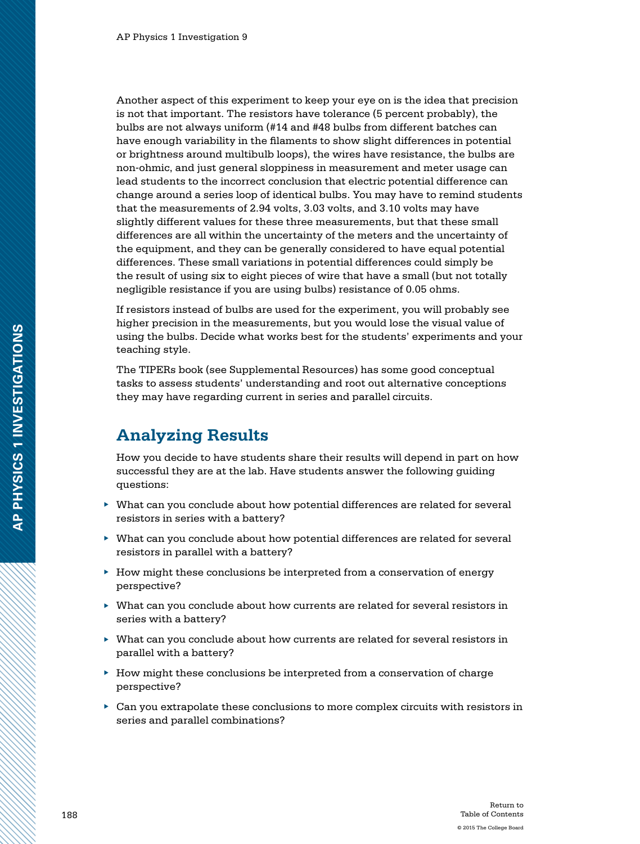Another aspect of this experiment to keep your eye on is the idea that precision is not that important. The resistors have tolerance (5 percent probably), the bulbs are not always uniform (#14 and #48 bulbs from different batches can have enough variability in the filaments to show slight differences in potential or brightness around multibulb loops), the wires have resistance, the bulbs are non-ohmic, and just general sloppiness in measurement and meter usage can lead students to the incorrect conclusion that electric potential difference can change around a series loop of identical bulbs. You may have to remind students that the measurements of 2.94 volts, 3.03 volts, and 3.10 volts may have slightly different values for these three measurements, but that these small differences are all within the uncertainty of the meters and the uncertainty of the equipment, and they can be generally considered to have equal potential differences. These small variations in potential differences could simply be the result of using six to eight pieces of wire that have a small (but not totally negligible resistance if you are using bulbs) resistance of 0.05 ohms.

If resistors instead of bulbs are used for the experiment, you will probably see higher precision in the measurements, but you would lose the visual value of using the bulbs. Decide what works best for the students' experiments and your teaching style.

The TIPERs book (see Supplemental Resources) has some good conceptual tasks to assess students' understanding and root out alternative conceptions they may have regarding current in series and parallel circuits.

#### **Analyzing Results**

How you decide to have students share their results will depend in part on how successful they are at the lab. Have students answer the following guiding questions:

- ▶ What can you conclude about how potential differences are related for several resistors in series with a battery?
- ▶ What can you conclude about how potential differences are related for several resistors in parallel with a battery?
- ▶ How might these conclusions be interpreted from a conservation of energy perspective?
- ▶ What can you conclude about how currents are related for several resistors in series with a battery?
- ▶ What can you conclude about how currents are related for several resistors in parallel with a battery?
- ▶ How might these conclusions be interpreted from a conservation of charge perspective?
- $\blacktriangleright$  Can you extrapolate these conclusions to more complex circuits with resistors in series and parallel combinations?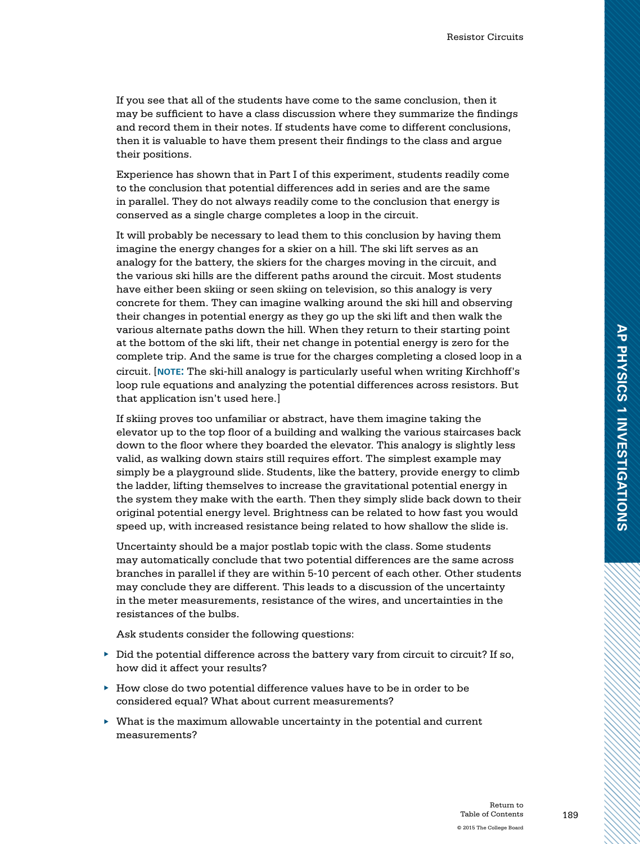If you see that all of the students have come to the same conclusion, then it may be sufficient to have a class discussion where they summarize the findings and record them in their notes. If students have come to different conclusions, then it is valuable to have them present their findings to the class and argue their positions.

Experience has shown that in Part I of this experiment, students readily come to the conclusion that potential differences add in series and are the same in parallel. They do not always readily come to the conclusion that energy is conserved as a single charge completes a loop in the circuit.

It will probably be necessary to lead them to this conclusion by having them imagine the energy changes for a skier on a hill. The ski lift serves as an analogy for the battery, the skiers for the charges moving in the circuit, and the various ski hills are the different paths around the circuit. Most students have either been skiing or seen skiing on television, so this analogy is very concrete for them. They can imagine walking around the ski hill and observing their changes in potential energy as they go up the ski lift and then walk the various alternate paths down the hill. When they return to their starting point at the bottom of the ski lift, their net change in potential energy is zero for the complete trip. And the same is true for the charges completing a closed loop in a circuit. [**note:** The ski-hill analogy is particularly useful when writing Kirchhoff's loop rule equations and analyzing the potential differences across resistors. But that application isn't used here.]

If skiing proves too unfamiliar or abstract, have them imagine taking the elevator up to the top floor of a building and walking the various staircases back down to the floor where they boarded the elevator. This analogy is slightly less valid, as walking down stairs still requires effort. The simplest example may simply be a playground slide. Students, like the battery, provide energy to climb the ladder, lifting themselves to increase the gravitational potential energy in the system they make with the earth. Then they simply slide back down to their original potential energy level. Brightness can be related to how fast you would speed up, with increased resistance being related to how shallow the slide is.

Uncertainty should be a major postlab topic with the class. Some students may automatically conclude that two potential differences are the same across branches in parallel if they are within 5-10 percent of each other. Other students may conclude they are different. This leads to a discussion of the uncertainty in the meter measurements, resistance of the wires, and uncertainties in the resistances of the bulbs.

Ask students consider the following questions:

- $\blacktriangleright$  Did the potential difference across the battery vary from circuit to circuit? If so, how did it affect your results?
- $\blacktriangleright$  How close do two potential difference values have to be in order to be considered equal? What about current measurements?
- $\blacktriangleright$  What is the maximum allowable uncertainty in the potential and current measurements?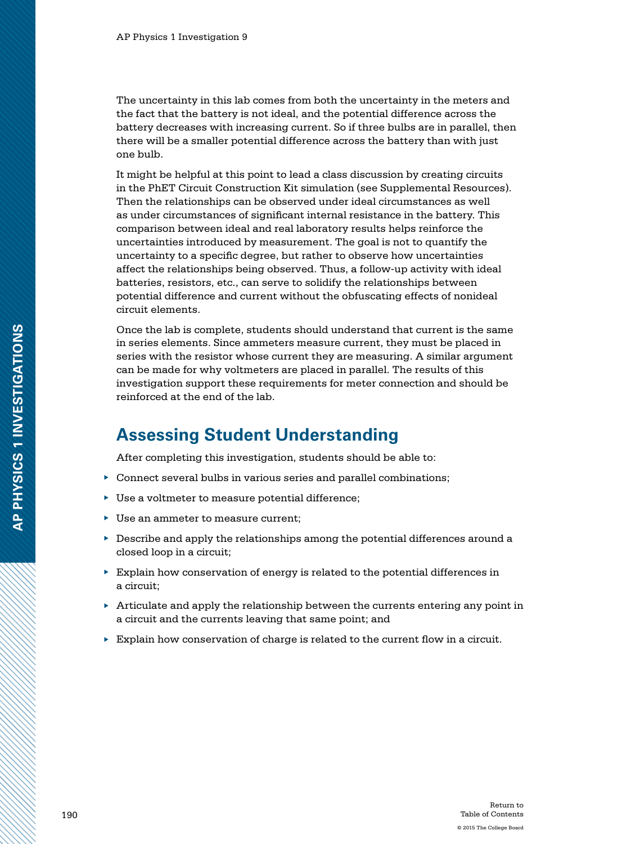The uncertainty in this lab comes from both the uncertainty in the meters and the fact that the battery is not ideal, and the potential difference across the battery decreases with increasing current. So if three bulbs are in parallel, then there will be a smaller potential difference across the battery than with just one bulb.

It might be helpful at this point to lead a class discussion by creating circuits in the PhET Circuit Construction Kit simulation (see Supplemental Resources). Then the relationships can be observed under ideal circumstances as well as under circumstances of significant internal resistance in the battery. This comparison between ideal and real laboratory results helps reinforce the uncertainties introduced by measurement. The goal is not to quantify the uncertainty to a specific degree, but rather to observe how uncertainties affect the relationships being observed. Thus, a follow-up activity with ideal batteries, resistors, etc., can serve to solidify the relationships between potential difference and current without the obfuscating effects of nonideal circuit elements.

Once the lab is complete, students should understand that current is the same in series elements. Since ammeters measure current, they must be placed in series with the resistor whose current they are measuring. A similar argument can be made for why voltmeters are placed in parallel. The results of this investigation support these requirements for meter connection and should be reinforced at the end of the lab.

### **Assessing Student Understanding**

After completing this investigation, students should be able to:

- $\triangleright$  Connect several bulbs in various series and parallel combinations;
- ▶ Use a voltmeter to measure potential difference;
- ▶ Use an ammeter to measure current;
- ▶ Describe and apply the relationships among the potential differences around a closed loop in a circuit;
- ▶ Explain how conservation of energy is related to the potential differences in a circuit;
- $\triangleright$  Articulate and apply the relationship between the currents entering any point in a circuit and the currents leaving that same point; and
- $\blacktriangleright$  Explain how conservation of charge is related to the current flow in a circuit.

**AP PHYSICS 1 INVESTIGATIONS**

AP PHYSICS 1 INVESTIGATIONS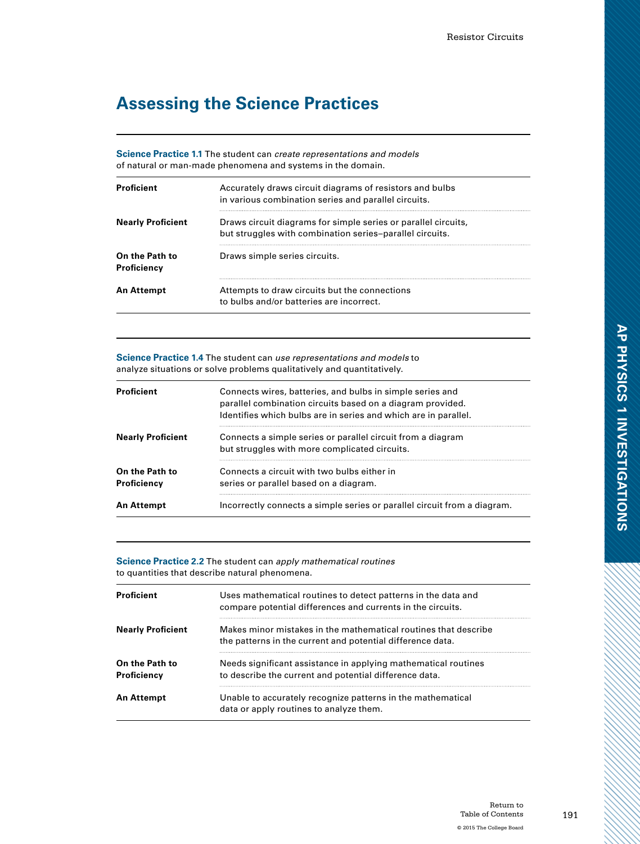# **Assessing the Science Practices**

**Science Practice 1.1** The student can *create representations and models* of natural or man-made phenomena and systems in the domain.

| Proficient                    | Accurately draws circuit diagrams of resistors and bulbs<br>in various combination series and parallel circuits.           |  |
|-------------------------------|----------------------------------------------------------------------------------------------------------------------------|--|
| <b>Nearly Proficient</b>      | Draws circuit diagrams for simple series or parallel circuits,<br>but struggles with combination series-parallel circuits. |  |
| On the Path to<br>Proficiency | Draws simple series circuits.                                                                                              |  |
| <b>An Attempt</b>             | Attempts to draw circuits but the connections<br>to bulbs and/or batteries are incorrect.                                  |  |

**Science Practice 1.4** The student can *use representations and models* to analyze situations or solve problems qualitatively and quantitatively.

| Proficient                    | Connects wires, batteries, and bulbs in simple series and<br>parallel combination circuits based on a diagram provided.<br>Identifies which bulbs are in series and which are in parallel. |
|-------------------------------|--------------------------------------------------------------------------------------------------------------------------------------------------------------------------------------------|
| <b>Nearly Proficient</b>      | Connects a simple series or parallel circuit from a diagram<br>but struggles with more complicated circuits.                                                                               |
| On the Path to<br>Proficiency | Connects a circuit with two bulbs either in<br>series or parallel based on a diagram.                                                                                                      |
| An Attempt                    | Incorrectly connects a simple series or parallel circuit from a diagram.                                                                                                                   |

**Science Practice 2.2** The student can *apply mathematical routines* to quantities that describe natural phenomena.

| Proficient                    | Uses mathematical routines to detect patterns in the data and<br>compare potential differences and currents in the circuits.  |
|-------------------------------|-------------------------------------------------------------------------------------------------------------------------------|
| <b>Nearly Proficient</b>      | Makes minor mistakes in the mathematical routines that describe<br>the patterns in the current and potential difference data. |
| On the Path to<br>Proficiency | Needs significant assistance in applying mathematical routines<br>to describe the current and potential difference data.      |
| An Attempt                    | Unable to accurately recognize patterns in the mathematical<br>data or apply routines to analyze them.                        |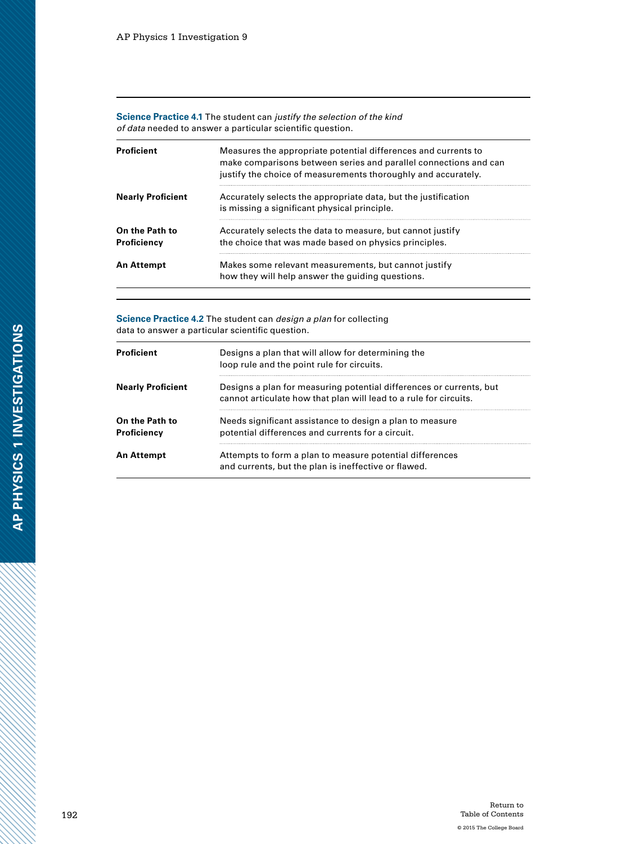**Science Practice 4.1** The student can *justify the selection of the kind of data* needed to answer a particular scientific question.

| Proficient                    | Measures the appropriate potential differences and currents to<br>make comparisons between series and parallel connections and can<br>justify the choice of measurements thoroughly and accurately. |
|-------------------------------|-----------------------------------------------------------------------------------------------------------------------------------------------------------------------------------------------------|
| <b>Nearly Proficient</b>      | Accurately selects the appropriate data, but the justification<br>is missing a significant physical principle.                                                                                      |
| On the Path to<br>Proficiency | Accurately selects the data to measure, but cannot justify<br>the choice that was made based on physics principles.                                                                                 |
| An Attempt                    | Makes some relevant measurements, but cannot justify<br>how they will help answer the quiding questions.                                                                                            |

**Science Practice 4.2** The student can *design a plan* for collecting data to answer a particular scientific question.

| <b>Proficient</b>             | Designs a plan that will allow for determining the<br>loop rule and the point rule for circuits.                                         |  |  |
|-------------------------------|------------------------------------------------------------------------------------------------------------------------------------------|--|--|
| <b>Nearly Proficient</b>      | Designs a plan for measuring potential differences or currents, but<br>cannot articulate how that plan will lead to a rule for circuits. |  |  |
| On the Path to<br>Proficiency | Needs significant assistance to design a plan to measure<br>potential differences and currents for a circuit.                            |  |  |
| An Attempt                    | Attempts to form a plan to measure potential differences<br>and currents, but the plan is ineffective or flawed.                         |  |  |

Z.

a dhe a cheall ann an 1970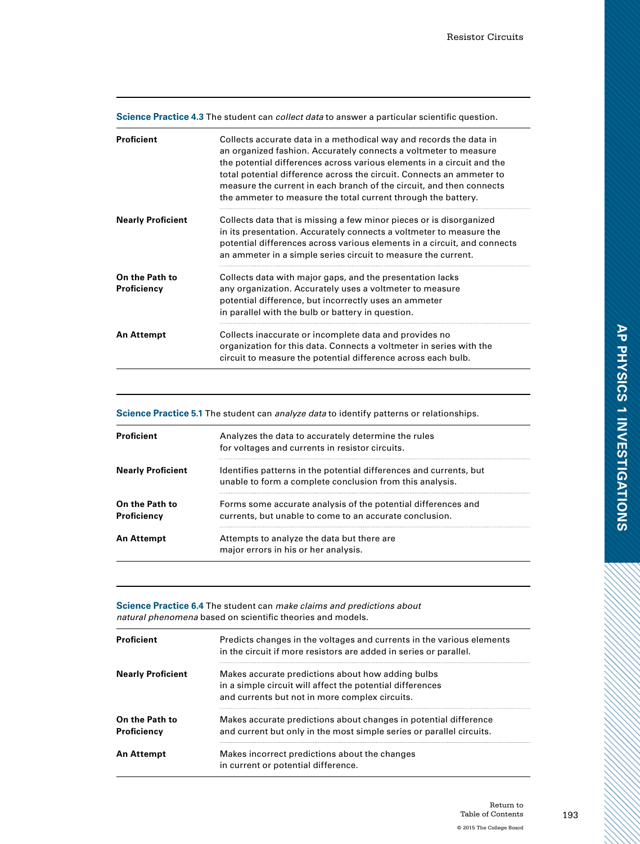|  |  |  | <b>Science Practice 4.3</b> The student can <i>collect data</i> to answer a particular scientific question. |  |
|--|--|--|-------------------------------------------------------------------------------------------------------------|--|
|  |  |  |                                                                                                             |  |

| Proficient                    | Collects accurate data in a methodical way and records the data in<br>an organized fashion. Accurately connects a voltmeter to measure<br>the potential differences across various elements in a circuit and the<br>total potential difference across the circuit. Connects an ammeter to<br>measure the current in each branch of the circuit, and then connects<br>the ammeter to measure the total current through the battery. |
|-------------------------------|------------------------------------------------------------------------------------------------------------------------------------------------------------------------------------------------------------------------------------------------------------------------------------------------------------------------------------------------------------------------------------------------------------------------------------|
| <b>Nearly Proficient</b>      | Collects data that is missing a few minor pieces or is disorganized<br>in its presentation. Accurately connects a voltmeter to measure the<br>potential differences across various elements in a circuit, and connects<br>an ammeter in a simple series circuit to measure the current.                                                                                                                                            |
| On the Path to<br>Proficiency | Collects data with major gaps, and the presentation lacks<br>any organization. Accurately uses a voltmeter to measure<br>potential difference, but incorrectly uses an ammeter<br>in parallel with the bulb or battery in question.                                                                                                                                                                                                |
| <b>An Attempt</b>             | Collects inaccurate or incomplete data and provides no<br>organization for this data. Connects a voltmeter in series with the<br>circuit to measure the potential difference across each bulb.                                                                                                                                                                                                                                     |

**Science Practice 5.1** The student can *analyze data* to identify patterns or relationships.

| <b>Proficient</b>             | Analyzes the data to accurately determine the rules<br>for voltages and currents in resistor circuits.                         |  |  |
|-------------------------------|--------------------------------------------------------------------------------------------------------------------------------|--|--|
| <b>Nearly Proficient</b>      | Identifies patterns in the potential differences and currents, but<br>unable to form a complete conclusion from this analysis. |  |  |
| On the Path to<br>Proficiency | Forms some accurate analysis of the potential differences and<br>currents, but unable to come to an accurate conclusion.       |  |  |
| An Attempt                    | Attempts to analyze the data but there are<br>major errors in his or her analysis.                                             |  |  |

**Science Practice 6.4** The student can *make claims and predictions about natural phenomena* based on scientific theories and models.

| <b>Proficient</b>             | Predicts changes in the voltages and currents in the various elements<br>in the circuit if more resistors are added in series or parallel.                       |  |  |
|-------------------------------|------------------------------------------------------------------------------------------------------------------------------------------------------------------|--|--|
| <b>Nearly Proficient</b>      | Makes accurate predictions about how adding bulbs<br>in a simple circuit will affect the potential differences<br>and currents but not in more complex circuits. |  |  |
| On the Path to<br>Proficiency | Makes accurate predictions about changes in potential difference<br>and current but only in the most simple series or parallel circuits.                         |  |  |
| <b>An Attempt</b>             | Makes incorrect predictions about the changes<br>in current or potential difference.                                                                             |  |  |